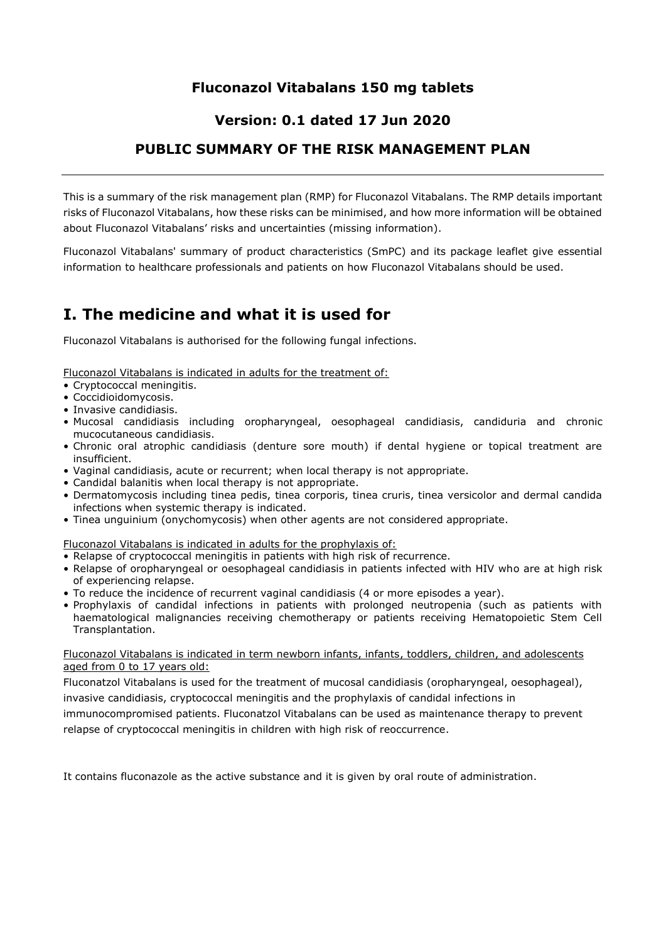## **Fluconazol Vitabalans 150 mg tablets**

### **Version: 0.1 dated 17 Jun 2020**

## **PUBLIC SUMMARY OF THE RISK MANAGEMENT PLAN**

This is a summary of the risk management plan (RMP) for Fluconazol Vitabalans. The RMP details important risks of Fluconazol Vitabalans, how these risks can be minimised, and how more information will be obtained about Fluconazol Vitabalans' risks and uncertainties (missing information).

Fluconazol Vitabalans' summary of product characteristics (SmPC) and its package leaflet give essential information to healthcare professionals and patients on how Fluconazol Vitabalans should be used.

# **I. The medicine and what it is used for**

Fluconazol Vitabalans is authorised for the following fungal infections.

Fluconazol Vitabalans is indicated in adults for the treatment of:

- Cryptococcal meningitis.
- Coccidioidomycosis.
- Invasive candidiasis.
- Mucosal candidiasis including oropharyngeal, oesophageal candidiasis, candiduria and chronic mucocutaneous candidiasis.
- Chronic oral atrophic candidiasis (denture sore mouth) if dental hygiene or topical treatment are insufficient.
- Vaginal candidiasis, acute or recurrent; when local therapy is not appropriate.
- Candidal balanitis when local therapy is not appropriate.
- Dermatomycosis including tinea pedis, tinea corporis, tinea cruris, tinea versicolor and dermal candida infections when systemic therapy is indicated.
- Tinea unguinium (onychomycosis) when other agents are not considered appropriate.

Fluconazol Vitabalans is indicated in adults for the prophylaxis of:

- Relapse of cryptococcal meningitis in patients with high risk of recurrence.
- Relapse of oropharyngeal or oesophageal candidiasis in patients infected with HIV who are at high risk of experiencing relapse.
- To reduce the incidence of recurrent vaginal candidiasis (4 or more episodes a year).
- Prophylaxis of candidal infections in patients with prolonged neutropenia (such as patients with haematological malignancies receiving chemotherapy or patients receiving Hematopoietic Stem Cell Transplantation.

#### Fluconazol Vitabalans is indicated in term newborn infants, infants, toddlers, children, and adolescents aged from 0 to 17 years old:

Fluconatzol Vitabalans is used for the treatment of mucosal candidiasis (oropharyngeal, oesophageal), invasive candidiasis, cryptococcal meningitis and the prophylaxis of candidal infections in

immunocompromised patients. Fluconatzol Vitabalans can be used as maintenance therapy to prevent relapse of cryptococcal meningitis in children with high risk of reoccurrence.

It contains fluconazole as the active substance and it is given by oral route of administration.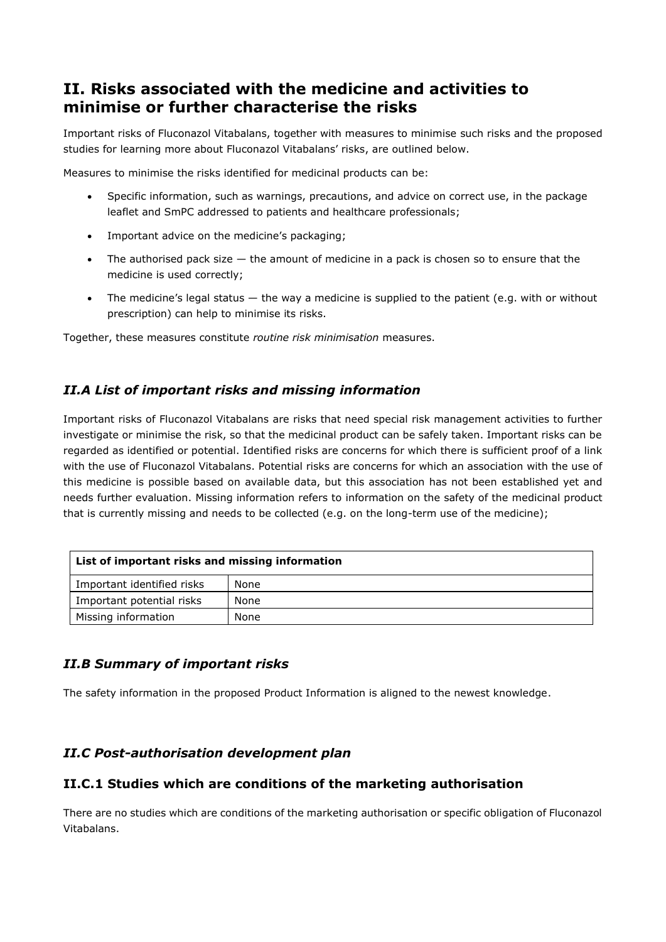# **II. Risks associated with the medicine and activities to minimise or further characterise the risks**

Important risks of Fluconazol Vitabalans, together with measures to minimise such risks and the proposed studies for learning more about Fluconazol Vitabalans' risks, are outlined below.

Measures to minimise the risks identified for medicinal products can be:

- Specific information, such as warnings, precautions, and advice on correct use, in the package leaflet and SmPC addressed to patients and healthcare professionals;
- Important advice on the medicine's packaging;
- The authorised pack size  $-$  the amount of medicine in a pack is chosen so to ensure that the medicine is used correctly;
- The medicine's legal status  $-$  the way a medicine is supplied to the patient (e.g. with or without prescription) can help to minimise its risks.

Together, these measures constitute *routine risk minimisation* measures.

### *II.A List of important risks and missing information*

Important risks of Fluconazol Vitabalans are risks that need special risk management activities to further investigate or minimise the risk, so that the medicinal product can be safely taken. Important risks can be regarded as identified or potential. Identified risks are concerns for which there is sufficient proof of a link with the use of Fluconazol Vitabalans. Potential risks are concerns for which an association with the use of this medicine is possible based on available data, but this association has not been established yet and needs further evaluation. Missing information refers to information on the safety of the medicinal product that is currently missing and needs to be collected (e.g. on the long-term use of the medicine);

| List of important risks and missing information |      |
|-------------------------------------------------|------|
| Important identified risks                      | None |
| Important potential risks                       | None |
| Missing information                             | None |

#### *II.B Summary of important risks*

The safety information in the proposed Product Information is aligned to the newest knowledge.

#### *II.C Post-authorisation development plan*

#### **II.C.1 Studies which are conditions of the marketing authorisation**

There are no studies which are conditions of the marketing authorisation or specific obligation of Fluconazol Vitabalans.